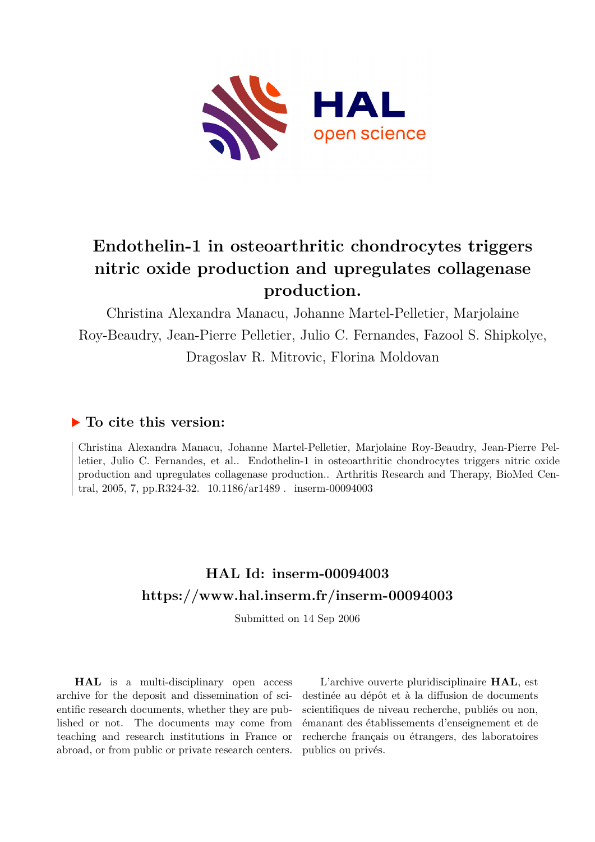

# **Endothelin-1 in osteoarthritic chondrocytes triggers nitric oxide production and upregulates collagenase production.**

Christina Alexandra Manacu, Johanne Martel-Pelletier, Marjolaine Roy-Beaudry, Jean-Pierre Pelletier, Julio C. Fernandes, Fazool S. Shipkolye, Dragoslav R. Mitrovic, Florina Moldovan

## **To cite this version:**

Christina Alexandra Manacu, Johanne Martel-Pelletier, Marjolaine Roy-Beaudry, Jean-Pierre Pelletier, Julio C. Fernandes, et al.. Endothelin-1 in osteoarthritic chondrocytes triggers nitric oxide production and upregulates collagenase production.. Arthritis Research and Therapy, BioMed Central, 2005, 7, pp.R324-32.  $10.1186/ar1489$ . inserm-00094003

## **HAL Id: inserm-00094003 <https://www.hal.inserm.fr/inserm-00094003>**

Submitted on 14 Sep 2006

**HAL** is a multi-disciplinary open access archive for the deposit and dissemination of scientific research documents, whether they are published or not. The documents may come from teaching and research institutions in France or abroad, or from public or private research centers.

L'archive ouverte pluridisciplinaire **HAL**, est destinée au dépôt et à la diffusion de documents scientifiques de niveau recherche, publiés ou non, émanant des établissements d'enseignement et de recherche français ou étrangers, des laboratoires publics ou privés.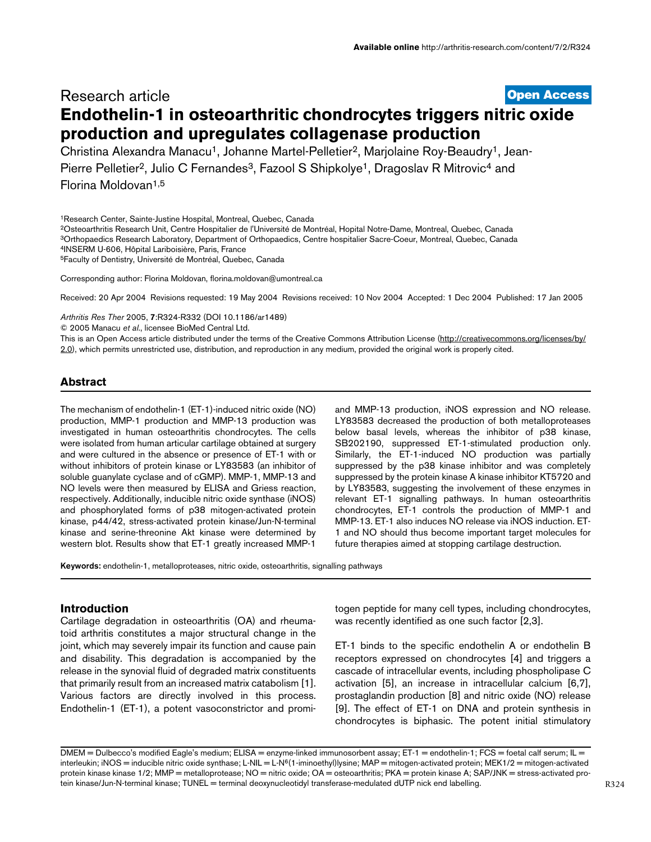## [Open Access](http://www.biomedcentral.com/info/about/charter/) Research article **Endothelin-1 in osteoarthritic chondrocytes triggers nitric oxide production and upregulates collagenase production**

Christina Alexandra Manacu<sup>1</sup>, Johanne Martel-Pelletier<sup>2</sup>, Marjolaine Roy-Beaudry<sup>1</sup>, Jean-Pierre Pelletier<sup>2</sup>, Julio C Fernandes<sup>3</sup>, Fazool S Shipkolye<sup>1</sup>, Dragoslav R Mitrovic<sup>4</sup> and Florina Moldovan1,5

<sup>1</sup>Research Center, Sainte-Justine Hospital, Montreal, Quebec, Canada

<sup>2</sup>Osteoarthritis Research Unit, Centre Hospitalier de l'Université de Montréal, Hopital Notre-Dame, Montreal, Quebec, Canada <sup>3</sup>Orthopaedics Research Laboratory, Department of Orthopaedics, Centre hospitalier Sacre-Coeur, Montreal, Quebec, Canada

<sup>4</sup>INSERM U-606, Hôpital Lariboisière, Paris, France

<sup>5</sup>Faculty of Dentistry, Université de Montréal, Quebec, Canada

Corresponding author: Florina Moldovan, florina.moldovan@umontreal.ca

Received: 20 Apr 2004 Revisions requested: 19 May 2004 Revisions received: 10 Nov 2004 Accepted: 1 Dec 2004 Published: 17 Jan 2005

Arthritis Res Ther 2005, 7:R324-R332 (DOI 10.1186/ar1489)

© 2005 Manacu et al., licensee BioMed Central Ltd.

This is an Open Access article distributed under the terms of the Creative Commons Attribution License ([http://creativecommons.org/licenses/by/](http://creativecommons.org/licenses/by/2.0) [2.0\)](http://creativecommons.org/licenses/by/2.0), which permits unrestricted use, distribution, and reproduction in any medium, provided the original work is properly cited.

#### **Abstract**

The mechanism of endothelin-1 (ET-1)-induced nitric oxide (NO) production, MMP-1 production and MMP-13 production was investigated in human osteoarthritis chondrocytes. The cells were isolated from human articular cartilage obtained at surgery and were cultured in the absence or presence of ET-1 with or without inhibitors of protein kinase or LY83583 (an inhibitor of soluble guanylate cyclase and of cGMP). MMP-1, MMP-13 and NO levels were then measured by ELISA and Griess reaction, respectively. Additionally, inducible nitric oxide synthase (iNOS) and phosphorylated forms of p38 mitogen-activated protein kinase, p44/42, stress-activated protein kinase/Jun-N-terminal kinase and serine-threonine Akt kinase were determined by western blot. Results show that ET-1 greatly increased MMP-1

and MMP-13 production, iNOS expression and NO release. LY83583 decreased the production of both metalloproteases below basal levels, whereas the inhibitor of p38 kinase, SB202190, suppressed ET-1-stimulated production only. Similarly, the ET-1-induced NO production was partially suppressed by the p38 kinase inhibitor and was completely suppressed by the protein kinase A kinase inhibitor KT5720 and by LY83583, suggesting the involvement of these enzymes in relevant ET-1 signalling pathways. In human osteoarthritis chondrocytes, ET-1 controls the production of MMP-1 and MMP-13. ET-1 also induces NO release via iNOS induction. ET-1 and NO should thus become important target molecules for future therapies aimed at stopping cartilage destruction.

Keywords: endothelin-1, metalloproteases, nitric oxide, osteoarthritis, signalling pathways

#### **Introduction**

Cartilage degradation in osteoarthritis (OA) and rheumatoid arthritis constitutes a major structural change in the joint, which may severely impair its function and cause pain and disability. This degradation is accompanied by the release in the synovial fluid of degraded matrix constituents that primarily result from an increased matrix catabolism [1]. Various factors are directly involved in this process. Endothelin-1 (ET-1), a potent vasoconstrictor and promitogen peptide for many cell types, including chondrocytes, was recently identified as one such factor [2,3].

ET-1 binds to the specific endothelin A or endothelin B receptors expressed on chondrocytes [4] and triggers a cascade of intracellular events, including phospholipase C activation [5], an increase in intracellular calcium [6,7], prostaglandin production [8] and nitric oxide (NO) release [9]. The effect of ET-1 on DNA and protein synthesis in chondrocytes is biphasic. The potent initial stimulatory

DMEM = Dulbecco's modified Eagle's medium; ELISA = enzyme-linked immunosorbent assay; ET-1 = endothelin-1; FCS = foetal calf serum; IL = interleukin; iNOS = inducible nitric oxide synthase; L-NIL = L-N<sup>6</sup>(1-iminoethyl)lysine; MAP = mitogen-activated protein; MEK1/2 = mitogen-activated protein kinase kinase 1/2; MMP = metalloprotease; NO = nitric oxide; OA = osteoarthritis; PKA = protein kinase A; SAP/JNK = stress-activated protein kinase/Jun-N-terminal kinase; TUNEL = terminal deoxynucleotidyl transferase-medulated dUTP nick end labelling.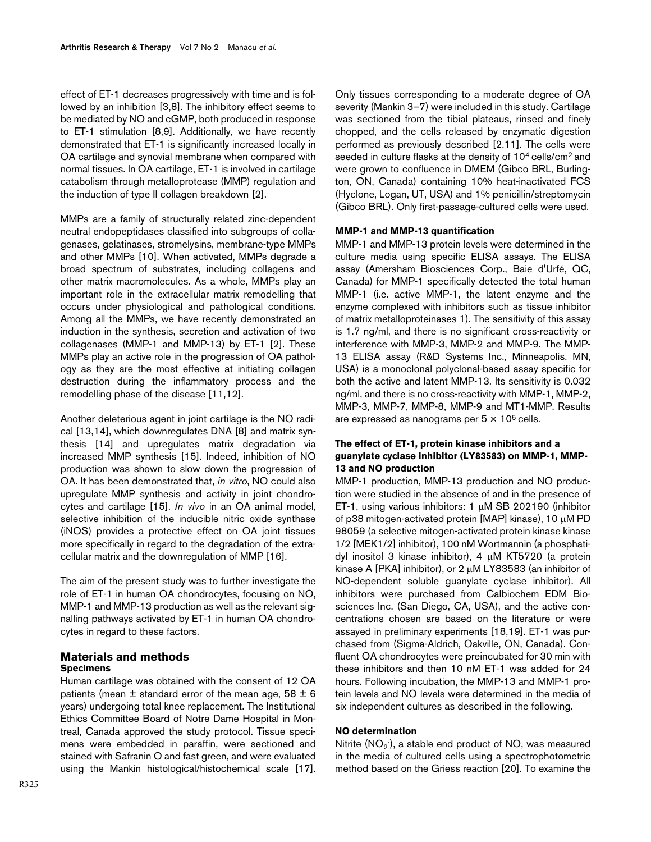effect of ET-1 decreases progressively with time and is followed by an inhibition [3,8]. The inhibitory effect seems to be mediated by NO and cGMP, both produced in response to ET-1 stimulation [8,9]. Additionally, we have recently demonstrated that ET-1 is significantly increased locally in OA cartilage and synovial membrane when compared with normal tissues. In OA cartilage, ET-1 is involved in cartilage catabolism through metalloprotease (MMP) regulation and the induction of type II collagen breakdown [2].

MMPs are a family of structurally related zinc-dependent neutral endopeptidases classified into subgroups of collagenases, gelatinases, stromelysins, membrane-type MMPs and other MMPs [10]. When activated, MMPs degrade a broad spectrum of substrates, including collagens and other matrix macromolecules. As a whole, MMPs play an important role in the extracellular matrix remodelling that occurs under physiological and pathological conditions. Among all the MMPs, we have recently demonstrated an induction in the synthesis, secretion and activation of two collagenases (MMP-1 and MMP-13) by ET-1 [2]. These MMPs play an active role in the progression of OA pathology as they are the most effective at initiating collagen destruction during the inflammatory process and the remodelling phase of the disease [11,12].

Another deleterious agent in joint cartilage is the NO radical [13,14], which downregulates DNA [8] and matrix synthesis [14] and upregulates matrix degradation via increased MMP synthesis [15]. Indeed, inhibition of NO production was shown to slow down the progression of OA. It has been demonstrated that, in vitro, NO could also upregulate MMP synthesis and activity in joint chondrocytes and cartilage [15]. In vivo in an OA animal model, selective inhibition of the inducible nitric oxide synthase (iNOS) provides a protective effect on OA joint tissues more specifically in regard to the degradation of the extracellular matrix and the downregulation of MMP [16].

The aim of the present study was to further investigate the role of ET-1 in human OA chondrocytes, focusing on NO, MMP-1 and MMP-13 production as well as the relevant signalling pathways activated by ET-1 in human OA chondrocytes in regard to these factors.

### **Materials and methods Specimens**

Human cartilage was obtained with the consent of 12 OA patients (mean  $\pm$  standard error of the mean age, 58  $\pm$  6 years) undergoing total knee replacement. The Institutional Ethics Committee Board of Notre Dame Hospital in Montreal, Canada approved the study protocol. Tissue specimens were embedded in paraffin, were sectioned and stained with Safranin O and fast green, and were evaluated using the Mankin histological/histochemical scale [17].

Only tissues corresponding to a moderate degree of OA severity (Mankin 3–7) were included in this study. Cartilage was sectioned from the tibial plateaus, rinsed and finely chopped, and the cells released by enzymatic digestion performed as previously described [2,11]. The cells were seeded in culture flasks at the density of 10<sup>4</sup> cells/cm<sup>2</sup> and were grown to confluence in DMEM (Gibco BRL, Burlington, ON, Canada) containing 10% heat-inactivated FCS (Hyclone, Logan, UT, USA) and 1% penicillin/streptomycin (Gibco BRL). Only first-passage-cultured cells were used.

#### **MMP-1 and MMP-13 quantification**

MMP-1 and MMP-13 protein levels were determined in the culture media using specific ELISA assays. The ELISA assay (Amersham Biosciences Corp., Baie d'Urfé, QC, Canada) for MMP-1 specifically detected the total human MMP-1 (i.e. active MMP-1, the latent enzyme and the enzyme complexed with inhibitors such as tissue inhibitor of matrix metalloproteinases 1). The sensitivity of this assay is 1.7 ng/ml, and there is no significant cross-reactivity or interference with MMP-3, MMP-2 and MMP-9. The MMP-13 ELISA assay (R&D Systems Inc., Minneapolis, MN, USA) is a monoclonal polyclonal-based assay specific for both the active and latent MMP-13. Its sensitivity is 0.032 ng/ml, and there is no cross-reactivity with MMP-1, MMP-2, MMP-3, MMP-7, MMP-8, MMP-9 and MT1-MMP. Results are expressed as nanograms per  $5 \times 10^5$  cells.

#### **The effect of ET-1, protein kinase inhibitors and a guanylate cyclase inhibitor (LY83583) on MMP-1, MMP-13 and NO production**

MMP-1 production, MMP-13 production and NO production were studied in the absence of and in the presence of ET-1, using various inhibitors: 1 µM SB 202190 (inhibitor of p38 mitogen-activated protein [MAP] kinase), 10 µM PD 98059 (a selective mitogen-activated protein kinase kinase 1/2 [MEK1/2] inhibitor), 100 nM Wortmannin (a phosphatidyl inositol 3 kinase inhibitor), 4 µM KT5720 (a protein kinase A [PKA] inhibitor), or 2 µM LY83583 (an inhibitor of NO-dependent soluble guanylate cyclase inhibitor). All inhibitors were purchased from Calbiochem EDM Biosciences Inc. (San Diego, CA, USA), and the active concentrations chosen are based on the literature or were assayed in preliminary experiments [18,19]. ET-1 was purchased from (Sigma-Aldrich, Oakville, ON, Canada). Confluent OA chondrocytes were preincubated for 30 min with these inhibitors and then 10 nM ET-1 was added for 24 hours. Following incubation, the MMP-13 and MMP-1 protein levels and NO levels were determined in the media of six independent cultures as described in the following.

#### **NO determination**

Nitrite (NO $_2$ ), a stable end product of NO, was measured in the media of cultured cells using a spectrophotometric method based on the Griess reaction [20]. To examine the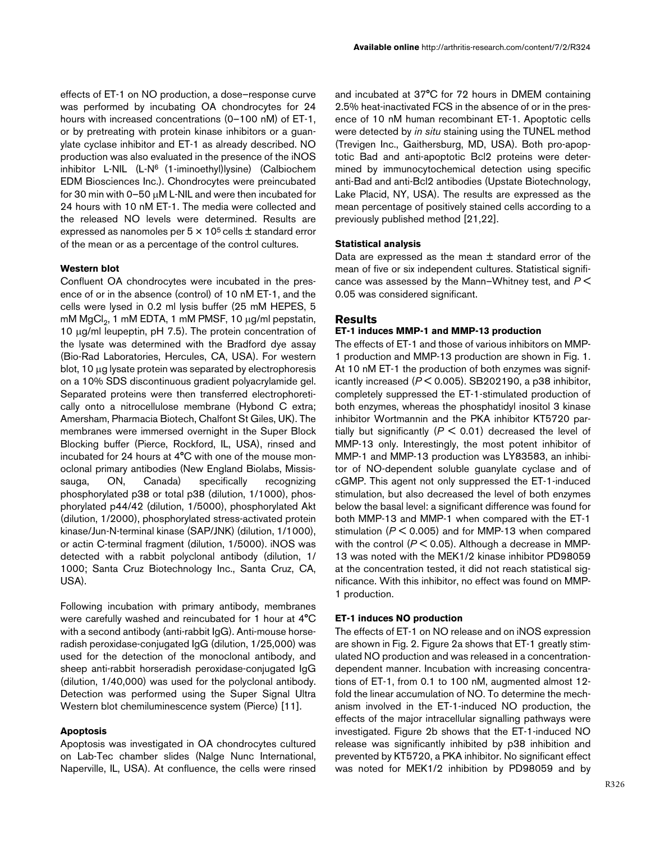effects of ET-1 on NO production, a dose–response curve was performed by incubating OA chondrocytes for 24 hours with increased concentrations (0–100 nM) of ET-1, or by pretreating with protein kinase inhibitors or a guanylate cyclase inhibitor and ET-1 as already described. NO production was also evaluated in the presence of the iNOS inhibitor L-NIL (L-N<sup>6</sup> (1-iminoethyl)lysine) (Calbiochem EDM Biosciences Inc.). Chondrocytes were preincubated for 30 min with 0–50 µM L-NIL and were then incubated for 24 hours with 10 nM ET-1. The media were collected and the released NO levels were determined. Results are expressed as nanomoles per  $5 \times 10^5$  cells  $\pm$  standard error of the mean or as a percentage of the control cultures.

#### **Western blot**

Confluent OA chondrocytes were incubated in the presence of or in the absence (control) of 10 nM ET-1, and the cells were lysed in 0.2 ml lysis buffer (25 mM HEPES, 5 mM  $\mathrm{MgCl}_2$ , 1 mM EDTA, 1 mM PMSF, 10  $\mu$ g/ml pepstatin, 10 µg/ml leupeptin, pH 7.5). The protein concentration of the lysate was determined with the Bradford dye assay (Bio-Rad Laboratories, Hercules, CA, USA). For western blot, 10 µg lysate protein was separated by electrophoresis on a 10% SDS discontinuous gradient polyacrylamide gel. Separated proteins were then transferred electrophoretically onto a nitrocellulose membrane (Hybond C extra; Amersham, Pharmacia Biotech, Chalfont St Giles, UK). The membranes were immersed overnight in the Super Block Blocking buffer (Pierce, Rockford, IL, USA), rinsed and incubated for 24 hours at 4°C with one of the mouse monoclonal primary antibodies (New England Biolabs, Mississauga, ON, Canada) specifically recognizing phosphorylated p38 or total p38 (dilution, 1/1000), phosphorylated p44/42 (dilution, 1/5000), phosphorylated Akt (dilution, 1/2000), phosphorylated stress-activated protein kinase/Jun-N-terminal kinase (SAP/JNK) (dilution, 1/1000), or actin C-terminal fragment (dilution, 1/5000). iNOS was detected with a rabbit polyclonal antibody (dilution, 1/ 1000; Santa Cruz Biotechnology Inc., Santa Cruz, CA, USA).

Following incubation with primary antibody, membranes were carefully washed and reincubated for 1 hour at 4°C with a second antibody (anti-rabbit IgG). Anti-mouse horseradish peroxidase-conjugated IgG (dilution, 1/25,000) was used for the detection of the monoclonal antibody, and sheep anti-rabbit horseradish peroxidase-conjugated IgG (dilution, 1/40,000) was used for the polyclonal antibody. Detection was performed using the Super Signal Ultra Western blot chemiluminescence system (Pierce) [11].

#### **Apoptosis**

Apoptosis was investigated in OA chondrocytes cultured on Lab-Tec chamber slides (Nalge Nunc International, Naperville, IL, USA). At confluence, the cells were rinsed

and incubated at 37°C for 72 hours in DMEM containing 2.5% heat-inactivated FCS in the absence of or in the presence of 10 nM human recombinant ET-1. Apoptotic cells were detected by in situ staining using the TUNEL method (Trevigen Inc., Gaithersburg, MD, USA). Both pro-apoptotic Bad and anti-apoptotic Bcl2 proteins were determined by immunocytochemical detection using specific anti-Bad and anti-Bcl2 antibodies (Upstate Biotechnology, Lake Placid, NY, USA). The results are expressed as the mean percentage of positively stained cells according to a previously published method [21,22].

#### **Statistical analysis**

Data are expressed as the mean  $\pm$  standard error of the mean of five or six independent cultures. Statistical significance was assessed by the Mann–Whitney test, and  $P \leq$ 0.05 was considered significant.

#### **Results**

#### **ET-1 induces MMP-1 and MMP-13 production**

The effects of ET-1 and those of various inhibitors on MMP-1 production and MMP-13 production are shown in Fig. [1.](#page-4-0) At 10 nM ET-1 the production of both enzymes was significantly increased  $(P < 0.005)$ . SB202190, a p38 inhibitor, completely suppressed the ET-1-stimulated production of both enzymes, whereas the phosphatidyl inositol 3 kinase inhibitor Wortmannin and the PKA inhibitor KT5720 partially but significantly ( $P < 0.01$ ) decreased the level of MMP-13 only. Interestingly, the most potent inhibitor of MMP-1 and MMP-13 production was LY83583, an inhibitor of NO-dependent soluble guanylate cyclase and of cGMP. This agent not only suppressed the ET-1-induced stimulation, but also decreased the level of both enzymes below the basal level: a significant difference was found for both MMP-13 and MMP-1 when compared with the ET-1 stimulation ( $P < 0.005$ ) and for MMP-13 when compared with the control ( $P < 0.05$ ). Although a decrease in MMP-13 was noted with the MEK1/2 kinase inhibitor PD98059 at the concentration tested, it did not reach statistical significance. With this inhibitor, no effect was found on MMP-1 production.

#### **ET-1 induces NO production**

The effects of ET-1 on NO release and on iNOS expression are shown in Fig. 2. Figure 2a shows that ET-1 greatly stimulated NO production and was released in a concentrationdependent manner. Incubation with increasing concentrations of ET-1, from 0.1 to 100 nM, augmented almost 12 fold the linear accumulation of NO. To determine the mechanism involved in the ET-1-induced NO production, the effects of the major intracellular signalling pathways were investigated. Figure 2b shows that the ET-1-induced NO release was significantly inhibited by p38 inhibition and prevented by KT5720, a PKA inhibitor. No significant effect was noted for MEK1/2 inhibition by PD98059 and by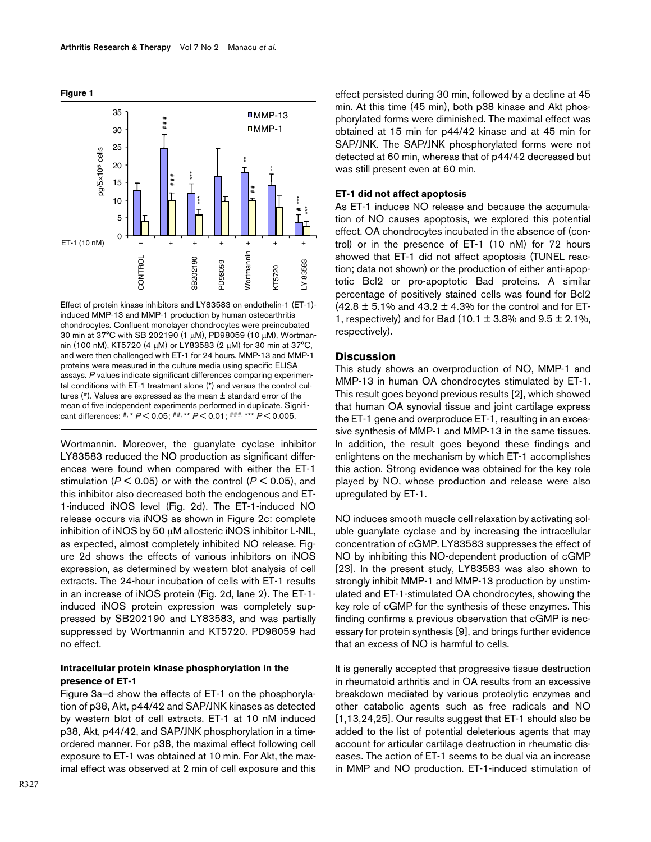<span id="page-4-0"></span>

Effect of protein kinase inhibitors and LY83583 on endothelin-1 (ET-1)induced MMP-13 and MMP-1 production by human osteoarthritis chondrocytes. Confluent monolayer chondrocytes were preincubated 30 min at 37°C with SB 202190 (1 µM), PD98059 (10 µM), Wortmannin (100 nM), KT5720 (4 µM) or LY83583 (2 µM) for 30 min at 37°C, and were then challenged with ET-1 for 24 hours. MMP-13 and MMP-1 proteins were measured in the culture media using specific ELISA assays. P values indicate significant differences comparing experimental conditions with ET-1 treatment alone (\*) and versus the control cultures  $(*)$ . Values are expressed as the mean  $\pm$  standard error of the mean of five independent experiments performed in duplicate. Significant differences:  $\frac{4}{7}$ , \*  $P$  < 0.05;  $\frac{4}{7}$ , \*\*  $P$  < 0.01;  $\frac{4}{7}$ , \*\*\*  $P$  < 0.005.

Wortmannin. Moreover, the guanylate cyclase inhibitor LY83583 reduced the NO production as significant differences were found when compared with either the ET-1 stimulation ( $P < 0.05$ ) or with the control ( $P < 0.05$ ), and this inhibitor also decreased both the endogenous and ET-1-induced iNOS level (Fig. 2d). The ET-1-induced NO release occurs via iNOS as shown in Figure 2c: complete inhibition of iNOS by 50 µM allosteric iNOS inhibitor L-NIL, as expected, almost completely inhibited NO release. Figure 2d shows the effects of various inhibitors on iNOS expression, as determined by western blot analysis of cell extracts. The 24-hour incubation of cells with ET-1 results in an increase of iNOS protein (Fig. 2d, lane 2). The ET-1 induced iNOS protein expression was completely suppressed by SB202190 and LY83583, and was partially suppressed by Wortmannin and KT5720. PD98059 had no effect.

#### **Intracellular protein kinase phosphorylation in the presence of ET-1**

Figure [3](#page-6-0)a–d show the effects of ET-1 on the phosphorylation of p38, Akt, p44/42 and SAP/JNK kinases as detected by western blot of cell extracts. ET-1 at 10 nM induced p38, Akt, p44/42, and SAP/JNK phosphorylation in a timeordered manner. For p38, the maximal effect following cell exposure to ET-1 was obtained at 10 min. For Akt, the maximal effect was observed at 2 min of cell exposure and this

effect persisted during 30 min, followed by a decline at 45 min. At this time (45 min), both p38 kinase and Akt phosphorylated forms were diminished. The maximal effect was obtained at 15 min for p44/42 kinase and at 45 min for SAP/JNK. The SAP/JNK phosphorylated forms were not detected at 60 min, whereas that of p44/42 decreased but was still present even at 60 min.

#### **ET-1 did not affect apoptosis**

As ET-1 induces NO release and because the accumulation of NO causes apoptosis, we explored this potential effect. OA chondrocytes incubated in the absence of (control) or in the presence of ET-1 (10 nM) for 72 hours showed that ET-1 did not affect apoptosis (TUNEL reaction; data not shown) or the production of either anti-apoptotic Bcl2 or pro-apoptotic Bad proteins. A similar percentage of positively stained cells was found for Bcl2  $(42.8 \pm 5.1\%$  and  $43.2 \pm 4.3\%$  for the control and for ET-1, respectively) and for Bad (10.1  $\pm$  3.8% and 9.5  $\pm$  2.1%, respectively).

#### **Discussion**

This study shows an overproduction of NO, MMP-1 and MMP-13 in human OA chondrocytes stimulated by ET-1. This result goes beyond previous results [2], which showed that human OA synovial tissue and joint cartilage express the ET-1 gene and overproduce ET-1, resulting in an excessive synthesis of MMP-1 and MMP-13 in the same tissues. In addition, the result goes beyond these findings and enlightens on the mechanism by which ET-1 accomplishes this action. Strong evidence was obtained for the key role played by NO, whose production and release were also upregulated by ET-1.

NO induces smooth muscle cell relaxation by activating soluble guanylate cyclase and by increasing the intracellular concentration of cGMP. LY83583 suppresses the effect of NO by inhibiting this NO-dependent production of cGMP [23]. In the present study, LY83583 was also shown to strongly inhibit MMP-1 and MMP-13 production by unstimulated and ET-1-stimulated OA chondrocytes, showing the key role of cGMP for the synthesis of these enzymes. This finding confirms a previous observation that cGMP is necessary for protein synthesis [9], and brings further evidence that an excess of NO is harmful to cells.

It is generally accepted that progressive tissue destruction in rheumatoid arthritis and in OA results from an excessive breakdown mediated by various proteolytic enzymes and other catabolic agents such as free radicals and NO [1,13,24,25]. Our results suggest that ET-1 should also be added to the list of potential deleterious agents that may account for articular cartilage destruction in rheumatic diseases. The action of ET-1 seems to be dual via an increase in MMP and NO production. ET-1-induced stimulation of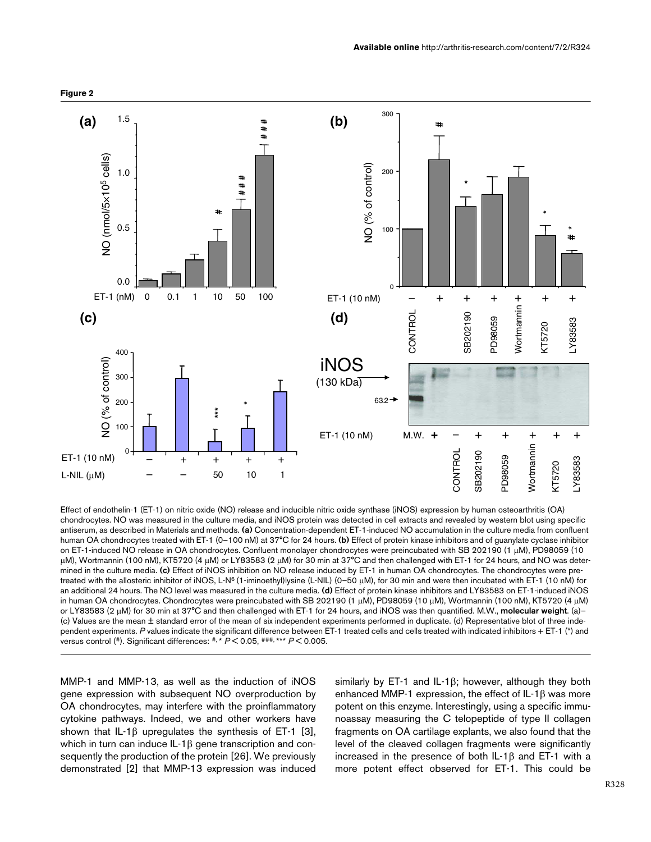

Effect of endothelin-1 (ET-1) on nitric oxide (NO) release and inducible nitric oxide synthase (iNOS) expression by human osteoarthritis (OA) chondrocytes. NO was measured in the culture media, and iNOS protein was detected in cell extracts and revealed by western blot using specific antiserum, as described in Materials and methods. (a) Concentration-dependent ET-1-induced NO accumulation in the culture media from confluent human OA chondrocytes treated with ET-1 (0-100 nM) at 37°C for 24 hours. (b) Effect of protein kinase inhibitors and of guanylate cyclase inhibitor on ET-1-induced NO release in OA chondrocytes. Confluent monolayer chondrocytes were preincubated with SB 202190 (1 µM), PD98059 (10 µM), Wortmannin (100 nM), KT5720 (4 µM) or LY83583 (2 µM) for 30 min at 37°C and then challenged with ET-1 for 24 hours, and NO was determined in the culture media. (c) Effect of iNOS inhibition on NO release induced by ET-1 in human OA chondrocytes. The chondrocytes were pretreated with the allosteric inhibitor of iNOS, L-N<sup>6</sup>(1-iminoethyl)lysine (L-NIL) (0–50 µM), for 30 min and were then incubated with ET-1 (10 nM) for an additional 24 hours. The NO level was measured in the culture media. (d) Effect of protein kinase inhibitors and LY83583 on ET-1-induced iNOS in human OA chondrocytes. Chondrocytes were preincubated with SB 202190 (1 µM), PD98059 (10 µM), Wortmannin (100 nM), KT5720 (4 µM) or LY83583 (2  $\mu$ M) for 30 min at 37°C and then challenged with ET-1 for 24 hours, and iNOS was then quantified. M.W., molecular weight. (a)-(c) Values are the mean ± standard error of the mean of six independent experiments performed in duplicate. (d) Representative blot of three independent experiments. P values indicate the significant difference between ET-1 treated cells and cells treated with indicated inhibitors + ET-1 (\*) and versus control (#). Significant differences:  $*$ ,  $*$   $P$  < 0.05,  $*$  $*$  $*$ ,  $*$   $*$   $P$  < 0.005.

MMP-1 and MMP-13, as well as the induction of iNOS gene expression with subsequent NO overproduction by OA chondrocytes, may interfere with the proinflammatory cytokine pathways. Indeed, we and other workers have shown that IL-1 $\beta$  upregulates the synthesis of ET-1 [3], which in turn can induce IL-1β gene transcription and consequently the production of the protein [26]. We previously demonstrated [2] that MMP-13 expression was induced

similarly by ET-1 and IL-1β; however, although they both enhanced MMP-1 expression, the effect of  $IL-1\beta$  was more potent on this enzyme. Interestingly, using a specific immunoassay measuring the C telopeptide of type II collagen fragments on OA cartilage explants, we also found that the level of the cleaved collagen fragments were significantly increased in the presence of both IL-1β and ET-1 with a more potent effect observed for ET-1. This could be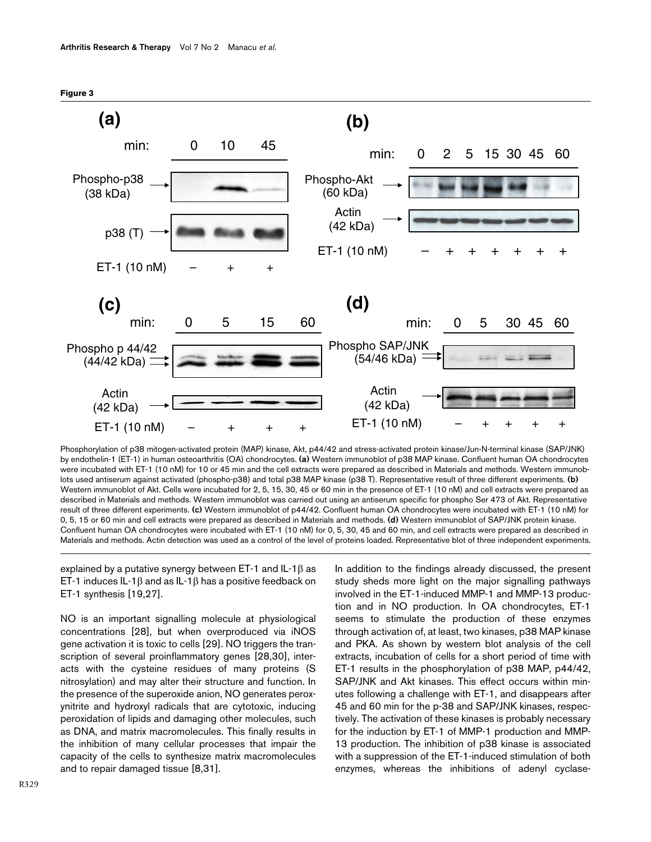<span id="page-6-0"></span>

by endothelin-1 (ET-1) in human osteoarthritis (OA) chondrocytes. (a) Western immunoblot of p38 MAP kinase. Confluent human OA chondrocytes were incubated with ET-1 (10 nM) for 10 or 45 min and the cell extracts were prepared as described in Materials and methods. Western immunoblots used antiserum against activated (phospho-p38) and total p38 MAP kinase (p38 T). Representative result of three different experiments. (b) Western immunoblot of Akt. Cells were incubated for 2, 5, 15, 30, 45 or 60 min in the presence of ET-1 (10 nM) and cell extracts were prepared as described in Materials and methods. Western immunoblot was carried out using an antiserum specific for phospho Ser 473 of Akt. Representative result of three different experiments. (c) Western immunoblot of p44/42. Confluent human OA chondrocytes were incubated with ET-1 (10 nM) for 0, 5, 15 or 60 min and cell extracts were prepared as described in Materials and methods. (d) Western immunoblot of SAP/JNK protein kinase. Confluent human OA chondrocytes were incubated with ET-1 (10 nM) for 0, 5, 30, 45 and 60 min, and cell extracts were prepared as described in Materials and methods. Actin detection was used as a control of the level of proteins loaded. Representative blot of three independent experiments.

explained by a putative synergy between ET-1 and IL-1β as ET-1 induces IL-1β and as IL-1β has a positive feedback on ET-1 synthesis [19,27].

NO is an important signalling molecule at physiological concentrations [28], but when overproduced via iNOS gene activation it is toxic to cells [29]. NO triggers the transcription of several proinflammatory genes [28,30], interacts with the cysteine residues of many proteins (S nitrosylation) and may alter their structure and function. In the presence of the superoxide anion, NO generates peroxynitrite and hydroxyl radicals that are cytotoxic, inducing peroxidation of lipids and damaging other molecules, such as DNA, and matrix macromolecules. This finally results in the inhibition of many cellular processes that impair the capacity of the cells to synthesize matrix macromolecules and to repair damaged tissue [8,31].

In addition to the findings already discussed, the present study sheds more light on the major signalling pathways involved in the ET-1-induced MMP-1 and MMP-13 production and in NO production. In OA chondrocytes, ET-1 seems to stimulate the production of these enzymes through activation of, at least, two kinases, p38 MAP kinase and PKA. As shown by western blot analysis of the cell extracts, incubation of cells for a short period of time with ET-1 results in the phosphorylation of p38 MAP, p44/42, SAP/JNK and Akt kinases. This effect occurs within minutes following a challenge with ET-1, and disappears after 45 and 60 min for the p-38 and SAP/JNK kinases, respectively. The activation of these kinases is probably necessary for the induction by ET-1 of MMP-1 production and MMP-13 production. The inhibition of p38 kinase is associated with a suppression of the ET-1-induced stimulation of both enzymes, whereas the inhibitions of adenyl cyclase-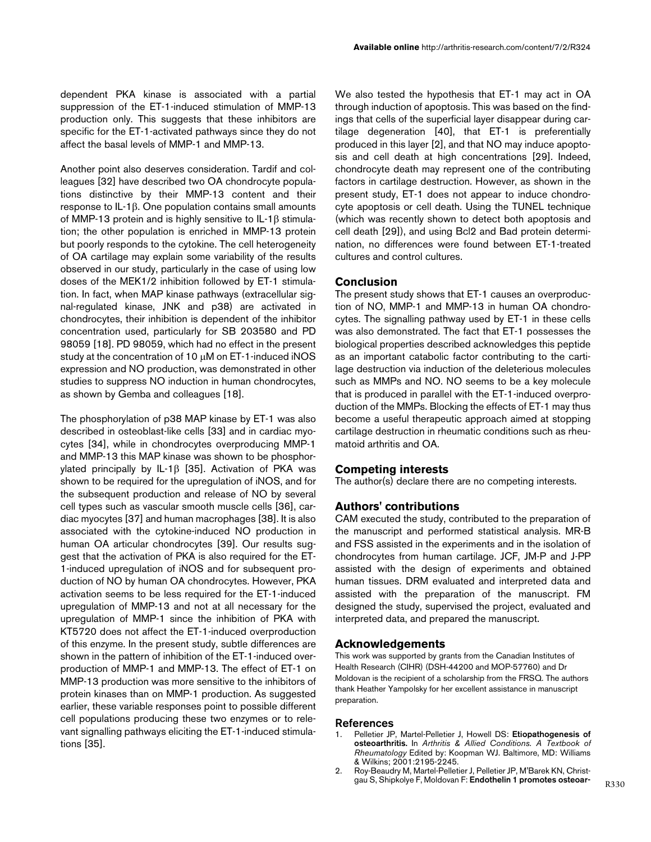dependent PKA kinase is associated with a partial suppression of the ET-1-induced stimulation of MMP-13 production only. This suggests that these inhibitors are specific for the ET-1-activated pathways since they do not affect the basal levels of MMP-1 and MMP-13.

Another point also deserves consideration. Tardif and colleagues [32] have described two OA chondrocyte populations distinctive by their MMP-13 content and their response to IL-1β. One population contains small amounts of MMP-13 protein and is highly sensitive to IL-1β stimulation; the other population is enriched in MMP-13 protein but poorly responds to the cytokine. The cell heterogeneity of OA cartilage may explain some variability of the results observed in our study, particularly in the case of using low doses of the MEK1/2 inhibition followed by ET-1 stimulation. In fact, when MAP kinase pathways (extracellular signal-regulated kinase, JNK and p38) are activated in chondrocytes, their inhibition is dependent of the inhibitor concentration used, particularly for SB 203580 and PD 98059 [18]. PD 98059, which had no effect in the present study at the concentration of 10 µM on ET-1-induced iNOS expression and NO production, was demonstrated in other studies to suppress NO induction in human chondrocytes, as shown by Gemba and colleagues [18].

The phosphorylation of p38 MAP kinase by ET-1 was also described in osteoblast-like cells [33] and in cardiac myocytes [34], while in chondrocytes overproducing MMP-1 and MMP-13 this MAP kinase was shown to be phosphorylated principally by IL-1β [35]. Activation of PKA was shown to be required for the upregulation of iNOS, and for the subsequent production and release of NO by several cell types such as vascular smooth muscle cells [36], cardiac myocytes [37] and human macrophages [38]. It is also associated with the cytokine-induced NO production in human OA articular chondrocytes [39]. Our results suggest that the activation of PKA is also required for the ET-1-induced upregulation of iNOS and for subsequent production of NO by human OA chondrocytes. However, PKA activation seems to be less required for the ET-1-induced upregulation of MMP-13 and not at all necessary for the upregulation of MMP-1 since the inhibition of PKA with KT5720 does not affect the ET-1-induced overproduction of this enzyme. In the present study, subtle differences are shown in the pattern of inhibition of the ET-1-induced overproduction of MMP-1 and MMP-13. The effect of ET-1 on MMP-13 production was more sensitive to the inhibitors of protein kinases than on MMP-1 production. As suggested earlier, these variable responses point to possible different cell populations producing these two enzymes or to relevant signalling pathways eliciting the ET-1-induced stimulations [35].

We also tested the hypothesis that ET-1 may act in OA through induction of apoptosis. This was based on the findings that cells of the superficial layer disappear during cartilage degeneration [40], that ET-1 is preferentially produced in this layer [2], and that NO may induce apoptosis and cell death at high concentrations [29]. Indeed, chondrocyte death may represent one of the contributing factors in cartilage destruction. However, as shown in the present study, ET-1 does not appear to induce chondrocyte apoptosis or cell death. Using the TUNEL technique (which was recently shown to detect both apoptosis and cell death [29]), and using Bcl2 and Bad protein determination, no differences were found between ET-1-treated cultures and control cultures.

### **Conclusion**

The present study shows that ET-1 causes an overproduction of NO, MMP-1 and MMP-13 in human OA chondrocytes. The signalling pathway used by ET-1 in these cells was also demonstrated. The fact that ET-1 possesses the biological properties described acknowledges this peptide as an important catabolic factor contributing to the cartilage destruction via induction of the deleterious molecules such as MMPs and NO. NO seems to be a key molecule that is produced in parallel with the ET-1-induced overproduction of the MMPs. Blocking the effects of ET-1 may thus become a useful therapeutic approach aimed at stopping cartilage destruction in rheumatic conditions such as rheumatoid arthritis and OA.

#### **Competing interests**

The author(s) declare there are no competing interests.

#### **Authors' contributions**

CAM executed the study, contributed to the preparation of the manuscript and performed statistical analysis. MR-B and FSS assisted in the experiments and in the isolation of chondrocytes from human cartilage. JCF, JM-P and J-PP assisted with the design of experiments and obtained human tissues. DRM evaluated and interpreted data and assisted with the preparation of the manuscript. FM designed the study, supervised the project, evaluated and interpreted data, and prepared the manuscript.

#### **Acknowledgements**

This work was supported by grants from the Canadian Institutes of Health Research (CIHR) (DSH-44200 and MOP-57760) and Dr Moldovan is the recipient of a scholarship from the FRSQ. The authors thank Heather Yampolsky for her excellent assistance in manuscript preparation.

#### References

- 1. Pelletier JP, Martel-Pelletier J, Howell DS: Etiopathogenesis of osteoarthritis. In Arthritis & Allied Conditions. A Textbook of Rheumatology Edited by: Koopman WJ. Baltimore, MD: Williams & Wilkins; 2001:2195-2245.
- 2. Roy-Beaudry M, Martel-Pelletier J, Pelletier JP, M'Barek KN, Christgau S, Shipkolye F, Moldovan F: [Endothelin 1 promotes osteoar-](http://www.ncbi.nlm.nih.gov/entrez/query.fcgi?cmd=Retrieve&db=PubMed&dopt=Abstract&list_uids=14558091)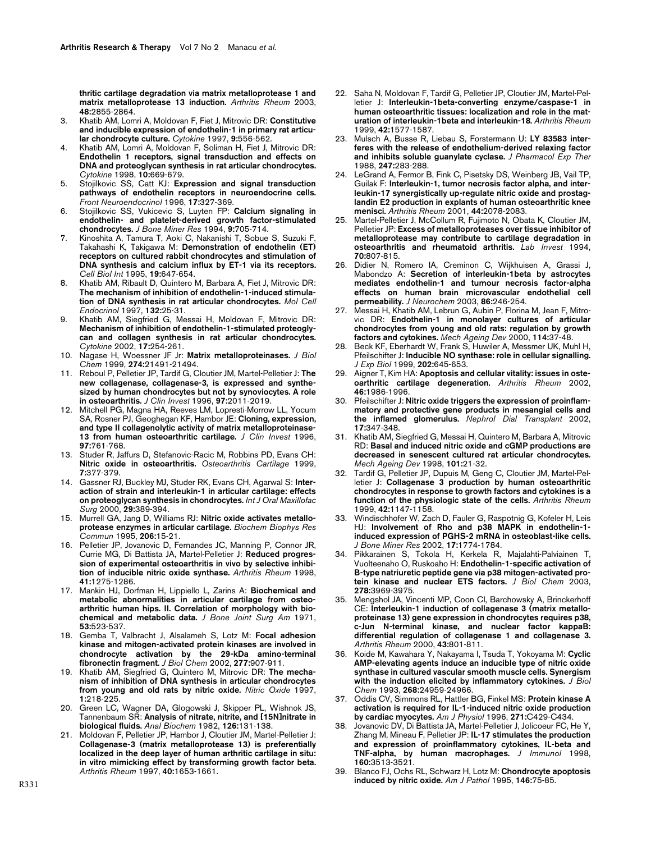[thritic cartilage degradation via matrix metalloprotease 1 and](http://www.ncbi.nlm.nih.gov/entrez/query.fcgi?cmd=Retrieve&db=PubMed&dopt=Abstract&list_uids=14558091) [matrix metalloprotease 13 induction.](http://www.ncbi.nlm.nih.gov/entrez/query.fcgi?cmd=Retrieve&db=PubMed&dopt=Abstract&list_uids=14558091) Arthritis Rheum 2003, 48:2855-2864.

- 3. Khatib AM, Lomri A, Moldovan F, Fiet J, Mitrovic DR: [Constitutive](http://www.ncbi.nlm.nih.gov/entrez/query.fcgi?cmd=Retrieve&db=PubMed&dopt=Abstract&list_uids=9245482) [and inducible expression of endothelin-1 in primary rat articu](http://www.ncbi.nlm.nih.gov/entrez/query.fcgi?cmd=Retrieve&db=PubMed&dopt=Abstract&list_uids=9245482)[lar chondrocyte culture.](http://www.ncbi.nlm.nih.gov/entrez/query.fcgi?cmd=Retrieve&db=PubMed&dopt=Abstract&list_uids=9245482) Cytokine 1997, 9:556-562.
- 4. Khatib AM, Lomri A, Moldovan F, Soliman H, Fiet J, Mitrovic DR: Endothelin 1 receptors, signal transduction and effects on [DNA and proteoglycan synthesis in rat articular chondrocytes.](http://www.ncbi.nlm.nih.gov/entrez/query.fcgi?cmd=Retrieve&db=PubMed&dopt=Abstract&list_uids=9770328) Cytokine 1998, 10:669-679.
- 5. Stojilkovic SS, Catt KJ: [Expression and signal transduction](http://www.ncbi.nlm.nih.gov/entrez/query.fcgi?cmd=Retrieve&db=PubMed&dopt=Abstract&list_uids=8812299) [pathways of endothelin receptors in neuroendocrine cells.](http://www.ncbi.nlm.nih.gov/entrez/query.fcgi?cmd=Retrieve&db=PubMed&dopt=Abstract&list_uids=8812299) Front Neuroendocrinol 1996, 17:327-369.
- 6. Stojilkovic SS, Vukicevic S, Luyten FP: [Calcium signaling in](http://www.ncbi.nlm.nih.gov/entrez/query.fcgi?cmd=Retrieve&db=PubMed&dopt=Abstract&list_uids=8053400) [endothelin- and platelet-derived growth factor-stimulated](http://www.ncbi.nlm.nih.gov/entrez/query.fcgi?cmd=Retrieve&db=PubMed&dopt=Abstract&list_uids=8053400) [chondrocytes.](http://www.ncbi.nlm.nih.gov/entrez/query.fcgi?cmd=Retrieve&db=PubMed&dopt=Abstract&list_uids=8053400) J Bone Miner Res 1994, 9:705-714.
- 7. Kinoshita A, Tamura T, Aoki C, Nakanishi T, Sobue S, Suzuki F, Takahashi K, Takigawa M: [Demonstration of endothelin \(ET\)](http://www.ncbi.nlm.nih.gov/entrez/query.fcgi?cmd=Retrieve&db=PubMed&dopt=Abstract&list_uids=7550073) receptors on cultured rabbit chondrocytes and stimulation of [DNA synthesis and calcium influx by ET-1 via its receptors.](http://www.ncbi.nlm.nih.gov/entrez/query.fcgi?cmd=Retrieve&db=PubMed&dopt=Abstract&list_uids=7550073) Cell Biol Int 1995, 19:647-654.
- Khatib AM, Ribault D, Quintero M, Barbara A, Fiet J, Mitrovic DR: [The mechanism of inhibition of endothelin-1-induced stimula](http://www.ncbi.nlm.nih.gov/entrez/query.fcgi?cmd=Retrieve&db=PubMed&dopt=Abstract&list_uids=9324043)[tion of DNA synthesis in rat articular chondrocytes.](http://www.ncbi.nlm.nih.gov/entrez/query.fcgi?cmd=Retrieve&db=PubMed&dopt=Abstract&list_uids=9324043) Mol Cell Endocrinol 1997, 132:25-31.
- 9. Khatib AM, Siegfried G, Messai H, Moldovan F, Mitrovic DR: Mechanism of inhibition of endothelin-1-stimulated proteogly[can and collagen synthesis in rat articular chondrocytes.](http://www.ncbi.nlm.nih.gov/entrez/query.fcgi?cmd=Retrieve&db=PubMed&dopt=Abstract&list_uids=12027406) Cytokine 2002, 17:254-261.
- 10. Nagase H, Woessner JF Jr: [Matrix metalloproteinases.](http://www.ncbi.nlm.nih.gov/entrez/query.fcgi?cmd=Retrieve&db=PubMed&dopt=Abstract&list_uids=10419448) J Biol Chem 1999, 274:21491-21494.
- 11. Reboul P, Pelletier JP, Tardif G, Cloutier JM, Martel-Pelletier J: [The](http://www.ncbi.nlm.nih.gov/entrez/query.fcgi?cmd=Retrieve&db=PubMed&dopt=Abstract&list_uids=8621789) new collagenase, collagenase-3, is expressed and synthe[sized by human chondrocytes but not by synoviocytes. A role](http://www.ncbi.nlm.nih.gov/entrez/query.fcgi?cmd=Retrieve&db=PubMed&dopt=Abstract&list_uids=8621789) [in osteoarthritis.](http://www.ncbi.nlm.nih.gov/entrez/query.fcgi?cmd=Retrieve&db=PubMed&dopt=Abstract&list_uids=8621789) J Clin Invest 1996, 97:2011-2019.
- 12. Mitchell PG, Magna HA, Reeves LM, Lopresti-Morrow LL, Yocum SA, Rosner PJ, Geoghegan KF, Hambor JE: [Cloning, expression,](http://www.ncbi.nlm.nih.gov/entrez/query.fcgi?cmd=Retrieve&db=PubMed&dopt=Abstract&list_uids=8609233) [and type II collagenolytic activity of matrix metalloproteinase-](http://www.ncbi.nlm.nih.gov/entrez/query.fcgi?cmd=Retrieve&db=PubMed&dopt=Abstract&list_uids=8609233)[13 from human osteoarthritic cartilage.](http://www.ncbi.nlm.nih.gov/entrez/query.fcgi?cmd=Retrieve&db=PubMed&dopt=Abstract&list_uids=8609233) J Clin Invest 1996, 97:761-768.
- 13. Studer R, Jaffurs D, Stefanovic-Racic M, Robbins PD, Evans CH: [Nitric oxide in osteoarthritis.](http://www.ncbi.nlm.nih.gov/entrez/query.fcgi?cmd=Retrieve&db=PubMed&dopt=Abstract&list_uids=10419772) Osteoarthritis Cartilage 1999, 7:377-379.
- 14. Gassner RJ, Buckley MJ, Studer RK, Evans CH, Agarwal S: [Inter](http://www.ncbi.nlm.nih.gov/entrez/query.fcgi?cmd=Retrieve&db=PubMed&dopt=Abstract&list_uids=11071247)[action of strain and interleukin-1 in articular cartilage: effects](http://www.ncbi.nlm.nih.gov/entrez/query.fcgi?cmd=Retrieve&db=PubMed&dopt=Abstract&list_uids=11071247) [on proteoglycan synthesis in chondrocytes.](http://www.ncbi.nlm.nih.gov/entrez/query.fcgi?cmd=Retrieve&db=PubMed&dopt=Abstract&list_uids=11071247) Int J Oral Maxillofac Surg 2000, 29:389-394.
- 15. Murrell GA, Jang D, Williams RJ: [Nitric oxide activates metallo](http://www.ncbi.nlm.nih.gov/entrez/query.fcgi?cmd=Retrieve&db=PubMed&dopt=Abstract&list_uids=7529496)[protease enzymes in articular cartilage.](http://www.ncbi.nlm.nih.gov/entrez/query.fcgi?cmd=Retrieve&db=PubMed&dopt=Abstract&list_uids=7529496) Biochem Biophys Res .<br>Commun 1995, 206:15-21.
- 16. Pelletier JP, Jovanovic D, Fernandes JC, Manning P, Connor JR, Currie MG, Di Battista JA, Martel-Pelletier J: [Reduced progres](http://www.ncbi.nlm.nih.gov/entrez/query.fcgi?cmd=Retrieve&db=PubMed&dopt=Abstract&list_uids=9663486)[sion of experimental osteoarthritis in vivo by selective inhibi](http://www.ncbi.nlm.nih.gov/entrez/query.fcgi?cmd=Retrieve&db=PubMed&dopt=Abstract&list_uids=9663486)[tion of inducible nitric oxide synthase.](http://www.ncbi.nlm.nih.gov/entrez/query.fcgi?cmd=Retrieve&db=PubMed&dopt=Abstract&list_uids=9663486) Arthritis Rheum 1998, 41:1275-1286.
- 17. Mankin HJ, Dorfman H, Lippiello L, Zarins A: [Biochemical and](http://www.ncbi.nlm.nih.gov/entrez/query.fcgi?cmd=Retrieve&db=PubMed&dopt=Abstract&list_uids=5580011) metabolic abnormalities in articular cartilage from osteo[arthritic human hips. II. Correlation of morphology with bio](http://www.ncbi.nlm.nih.gov/entrez/query.fcgi?cmd=Retrieve&db=PubMed&dopt=Abstract&list_uids=5580011)[chemical and metabolic data.](http://www.ncbi.nlm.nih.gov/entrez/query.fcgi?cmd=Retrieve&db=PubMed&dopt=Abstract&list_uids=5580011) J Bone Joint Surg Am 1971, 53:523-537.
- 18. Gemba T, Valbracht J, Alsalameh S, Lotz M: [Focal adhesion](http://www.ncbi.nlm.nih.gov/entrez/query.fcgi?cmd=Retrieve&db=PubMed&dopt=Abstract&list_uids=11677248) kinase and mitogen-activated protein kinases are involved in [chondrocyte activation by the 29-kDa amino-terminal](http://www.ncbi.nlm.nih.gov/entrez/query.fcgi?cmd=Retrieve&db=PubMed&dopt=Abstract&list_uids=11677248) [fibronectin fragment.](http://www.ncbi.nlm.nih.gov/entrez/query.fcgi?cmd=Retrieve&db=PubMed&dopt=Abstract&list_uids=11677248) J Biol Chem 2002, 277:907-911.
- 19. Khatib AM, Siegfried G, Quintero M, Mitrovic DR: [The mecha](http://www.ncbi.nlm.nih.gov/entrez/query.fcgi?cmd=Retrieve&db=PubMed&dopt=Abstract&list_uids=9704583)[nism of inhibition of DNA synthesis in articular chondrocytes](http://www.ncbi.nlm.nih.gov/entrez/query.fcgi?cmd=Retrieve&db=PubMed&dopt=Abstract&list_uids=9704583) [from young and old rats by nitric oxide.](http://www.ncbi.nlm.nih.gov/entrez/query.fcgi?cmd=Retrieve&db=PubMed&dopt=Abstract&list_uids=9704583) Nitric Oxide 1997, 1:218-225.
- 20. Green LC, Wagner DA, Glogowski J, Skipper PL, Wishnok JS, Tannenbaum SR: [Analysis of nitrate, nitrite, and \[15N\]nitrate in](http://www.ncbi.nlm.nih.gov/entrez/query.fcgi?cmd=Retrieve&db=PubMed&dopt=Abstract&list_uids=7181105) [biological fluids.](http://www.ncbi.nlm.nih.gov/entrez/query.fcgi?cmd=Retrieve&db=PubMed&dopt=Abstract&list_uids=7181105) Anal Biochem 1982, 126:131-138.
- 21. Moldovan F, Pelletier JP, Hambor J, Cloutier JM, Martel-Pelletier J: Collagenase-3 (matrix metalloprotease 13) is preferentially [localized in the deep layer of human arthritic cartilage in situ:](http://www.ncbi.nlm.nih.gov/entrez/query.fcgi?cmd=Retrieve&db=PubMed&dopt=Abstract&list_uids=9324020) in vitro mimicking effect by transforming growth factor beta. Arthritis Rheum 1997, 40:1653-1661.
- 22. Saha N, Moldovan F, Tardif G, Pelletier JP, Cloutier JM, Martel-Pelletier J: [Interleukin-1beta-converting enzyme/caspase-1 in](http://www.ncbi.nlm.nih.gov/entrez/query.fcgi?cmd=Retrieve&db=PubMed&dopt=Abstract&list_uids=10446854) [human osteoarthritic tissues: localization and role in the mat](http://www.ncbi.nlm.nih.gov/entrez/query.fcgi?cmd=Retrieve&db=PubMed&dopt=Abstract&list_uids=10446854)[uration of interleukin-1beta and interleukin-18.](http://www.ncbi.nlm.nih.gov/entrez/query.fcgi?cmd=Retrieve&db=PubMed&dopt=Abstract&list_uids=10446854) Arthritis Rheum 1999, 42:1577-1587.
- 23. Mulsch A, Busse R, Liebau S, Forstermann U: [LY 83583 inter](http://www.ncbi.nlm.nih.gov/entrez/query.fcgi?cmd=Retrieve&db=PubMed&dopt=Abstract&list_uids=2902213)[feres with the release of endothelium-derived relaxing factor](http://www.ncbi.nlm.nih.gov/entrez/query.fcgi?cmd=Retrieve&db=PubMed&dopt=Abstract&list_uids=2902213) [and inhibits soluble guanylate cyclase.](http://www.ncbi.nlm.nih.gov/entrez/query.fcgi?cmd=Retrieve&db=PubMed&dopt=Abstract&list_uids=2902213)  $J$  Pharmacol Exp Ther 1988, 247:283-288.
- 24. LeGrand A, Fermor B, Fink C, Pisetsky DS, Weinberg JB, Vail TP, Guilak F: [Interleukin-1, tumor necrosis factor alpha, and inter](http://www.ncbi.nlm.nih.gov/entrez/query.fcgi?cmd=Retrieve&db=PubMed&dopt=Abstract&list_uids=11592370)leukin-17 synergistically up-regulate nitric oxide and prostag[landin E2 production in explants of human osteoarthritic knee](http://www.ncbi.nlm.nih.gov/entrez/query.fcgi?cmd=Retrieve&db=PubMed&dopt=Abstract&list_uids=11592370) [menisci.](http://www.ncbi.nlm.nih.gov/entrez/query.fcgi?cmd=Retrieve&db=PubMed&dopt=Abstract&list_uids=11592370) Arthritis Rheum 2001, 44:2078-2083.
- 25. Martel-Pelletier J, McCollum R, Fujimoto N, Obata K, Cloutier JM, Pelletier JP: [Excess of metalloproteases over tissue inhibitor of](http://www.ncbi.nlm.nih.gov/entrez/query.fcgi?cmd=Retrieve&db=PubMed&dopt=Abstract&list_uids=8015285) [metalloprotease may contribute to cartilage degradation in](http://www.ncbi.nlm.nih.gov/entrez/query.fcgi?cmd=Retrieve&db=PubMed&dopt=Abstract&list_uids=8015285) [osteoarthritis and rheumatoid arthritis.](http://www.ncbi.nlm.nih.gov/entrez/query.fcgi?cmd=Retrieve&db=PubMed&dopt=Abstract&list_uids=8015285) Lab Invest 1994, 70:807-815.
- 26. Didier N, Romero IA, Creminon C, Wijkhuisen A, Grassi J, Mabondzo A: [Secretion of interleukin-1beta by astrocytes](http://www.ncbi.nlm.nih.gov/entrez/query.fcgi?cmd=Retrieve&db=PubMed&dopt=Abstract&list_uids=12807444) mediates endothelin-1 and tumour necrosis factor-alpha [effects on human brain microvascular endothelial cell](http://www.ncbi.nlm.nih.gov/entrez/query.fcgi?cmd=Retrieve&db=PubMed&dopt=Abstract&list_uids=12807444) [permeability.](http://www.ncbi.nlm.nih.gov/entrez/query.fcgi?cmd=Retrieve&db=PubMed&dopt=Abstract&list_uids=12807444) J Neurochem 2003, 86:246-254.
- 27. Messai H, Khatib AM, Lebrun G, Aubin P, Florina M, Jean F, Mitrovic DR: [Endothelin-1 in monolayer cultures of articular](http://www.ncbi.nlm.nih.gov/entrez/query.fcgi?cmd=Retrieve&db=PubMed&dopt=Abstract&list_uids=10731580) [chondrocytes from young and old rats: regulation by growth](http://www.ncbi.nlm.nih.gov/entrez/query.fcgi?cmd=Retrieve&db=PubMed&dopt=Abstract&list_uids=10731580) [factors and cytokines.](http://www.ncbi.nlm.nih.gov/entrez/query.fcgi?cmd=Retrieve&db=PubMed&dopt=Abstract&list_uids=10731580) Mech Ageing Dev 2000, 114:37-48.
- 28. Beck KF, Eberhardt W, Frank S, Huwiler A, Messmer UK, Muhl H, Pfeilschifter J: [Inducible NO synthase: role in cellular signalling.](http://www.ncbi.nlm.nih.gov/entrez/query.fcgi?cmd=Retrieve&db=PubMed&dopt=Abstract&list_uids=10021318) J Exp Biol 1999, 202:645-653.
- 29. Aigner T, Kim HA: [Apoptosis and cellular vitality: issues in oste](http://www.ncbi.nlm.nih.gov/entrez/query.fcgi?cmd=Retrieve&db=PubMed&dopt=Abstract&list_uids=12209500)[oarthritic cartilage degeneration.](http://www.ncbi.nlm.nih.gov/entrez/query.fcgi?cmd=Retrieve&db=PubMed&dopt=Abstract&list_uids=12209500) Arthritis Rheum 2002, 46:1986-1996.
- 30. Pfeilschifter J: [Nitric oxide triggers the expression of proinflam](http://www.ncbi.nlm.nih.gov/entrez/query.fcgi?cmd=Retrieve&db=PubMed&dopt=Abstract&list_uids=11865072)[matory and protective gene products in mesangial cells and](http://www.ncbi.nlm.nih.gov/entrez/query.fcgi?cmd=Retrieve&db=PubMed&dopt=Abstract&list_uids=11865072) [the inflamed glomerulus.](http://www.ncbi.nlm.nih.gov/entrez/query.fcgi?cmd=Retrieve&db=PubMed&dopt=Abstract&list_uids=11865072) Nephrol Dial Transplant 2002, 17:347-348.
- 31. Khatib AM, Siegfried G, Messai H, Quintero M, Barbara A, Mitrovic RD: [Basal and induced nitric oxide and cGMP productions are](http://www.ncbi.nlm.nih.gov/entrez/query.fcgi?cmd=Retrieve&db=PubMed&dopt=Abstract&list_uids=9593310) [decreased in senescent cultured rat articular chondrocytes.](http://www.ncbi.nlm.nih.gov/entrez/query.fcgi?cmd=Retrieve&db=PubMed&dopt=Abstract&list_uids=9593310) Mech Ageing Dev 1998, 101:21-32.
- 32. Tardif G, Pelletier JP, Dupuis M, Geng C, Cloutier JM, Martel-Pelletier J: [Collagenase 3 production by human osteoarthritic](http://www.ncbi.nlm.nih.gov/entrez/query.fcgi?cmd=Retrieve&db=PubMed&dopt=Abstract&list_uids=10366107) [chondrocytes in response to growth factors and cytokines is a](http://www.ncbi.nlm.nih.gov/entrez/query.fcgi?cmd=Retrieve&db=PubMed&dopt=Abstract&list_uids=10366107) [function of the physiologic state of the cells.](http://www.ncbi.nlm.nih.gov/entrez/query.fcgi?cmd=Retrieve&db=PubMed&dopt=Abstract&list_uids=10366107) Arthritis Rheum 1999, 42:1147-1158.
- 33. Windischhofer W, Zach D, Fauler G, Raspotnig G, Kofeler H, Leis HJ: [Involvement of Rho and p38 MAPK in endothelin-1](http://www.ncbi.nlm.nih.gov/entrez/query.fcgi?cmd=Retrieve&db=PubMed&dopt=Abstract&list_uids=12369781) [induced expression of PGHS-2 mRNA in osteoblast-like cells.](http://www.ncbi.nlm.nih.gov/entrez/query.fcgi?cmd=Retrieve&db=PubMed&dopt=Abstract&list_uids=12369781) J Bone Miner Res 2002, 17:1774-1784.
- 34. Pikkarainen S, Tokola H, Kerkela R, Majalahti-Palviainen T, Vuolteenaho O, Ruskoaho H: [Endothelin-1-specific activation of](http://www.ncbi.nlm.nih.gov/entrez/query.fcgi?cmd=Retrieve&db=PubMed&dopt=Abstract&list_uids=12446726) [B-type natriuretic peptide gene via p38 mitogen-activated pro](http://www.ncbi.nlm.nih.gov/entrez/query.fcgi?cmd=Retrieve&db=PubMed&dopt=Abstract&list_uids=12446726)[tein kinase and nuclear ETS factors.](http://www.ncbi.nlm.nih.gov/entrez/query.fcgi?cmd=Retrieve&db=PubMed&dopt=Abstract&list_uids=12446726) J Biol Chem 2003, 278:3969-3975.
- Mengshol JA, Vincenti MP, Coon CI, Barchowsky A, Brinckerhoff CE: [Interleukin-1 induction of collagenase 3 \(matrix metallo](http://www.ncbi.nlm.nih.gov/entrez/query.fcgi?cmd=Retrieve&db=PubMed&dopt=Abstract&list_uids=10765924)proteinase 13) gene expression in chondrocytes requires p38, c-Jun N-terminal kinase, and nuclear factor kappaB: [differential regulation of collagenase 1 and collagenase 3.](http://www.ncbi.nlm.nih.gov/entrez/query.fcgi?cmd=Retrieve&db=PubMed&dopt=Abstract&list_uids=10765924) Arthritis Rheum 2000, 43:801-811.
- 36. Koide M, Kawahara Y, Nakayama I, Tsuda T, Yokoyama M: [Cyclic](http://www.ncbi.nlm.nih.gov/entrez/query.fcgi?cmd=Retrieve&db=PubMed&dopt=Abstract&list_uids=7693710) AMP-elevating agents induce an inducible type of nitric oxide [synthase in cultured vascular smooth muscle cells. Synergism](http://www.ncbi.nlm.nih.gov/entrez/query.fcgi?cmd=Retrieve&db=PubMed&dopt=Abstract&list_uids=7693710) [with the induction elicited by inflammatory cytokines.](http://www.ncbi.nlm.nih.gov/entrez/query.fcgi?cmd=Retrieve&db=PubMed&dopt=Abstract&list_uids=7693710) J Biol Chem 1993, 268:24959-24966.
- 37. Oddis CV, Simmons RL, Hattler BG, Finkel MS: [Protein kinase A](http://www.ncbi.nlm.nih.gov/entrez/query.fcgi?cmd=Retrieve&db=PubMed&dopt=Abstract&list_uids=8760074) [activation is required for IL-1-induced nitric oxide production](http://www.ncbi.nlm.nih.gov/entrez/query.fcgi?cmd=Retrieve&db=PubMed&dopt=Abstract&list_uids=8760074) [by cardiac myocytes.](http://www.ncbi.nlm.nih.gov/entrez/query.fcgi?cmd=Retrieve&db=PubMed&dopt=Abstract&list_uids=8760074) Am J Physiol 1996, 271:C429-C434.
- 38. Jovanovic DV, Di Battista JA, Martel-Pelletier J, Jolicoeur FC, He Y, Zhang M, Mineau F, Pelletier JP: [IL-17 stimulates the production](http://www.ncbi.nlm.nih.gov/entrez/query.fcgi?cmd=Retrieve&db=PubMed&dopt=Abstract&list_uids=9531313) [and expression of proinflammatory cytokines, IL-beta and](http://www.ncbi.nlm.nih.gov/entrez/query.fcgi?cmd=Retrieve&db=PubMed&dopt=Abstract&list_uids=9531313) [TNF-alpha, by human macrophages.](http://www.ncbi.nlm.nih.gov/entrez/query.fcgi?cmd=Retrieve&db=PubMed&dopt=Abstract&list_uids=9531313) J Immunol 1998, 160:3513-3521.
- 39. Blanco FJ, Ochs RL, Schwarz H, Lotz M: [Chondrocyte apoptosis](http://www.ncbi.nlm.nih.gov/entrez/query.fcgi?cmd=Retrieve&db=PubMed&dopt=Abstract&list_uids=7856740) [induced by nitric oxide.](http://www.ncbi.nlm.nih.gov/entrez/query.fcgi?cmd=Retrieve&db=PubMed&dopt=Abstract&list_uids=7856740) Am J Pathol 1995, 146:75-85.